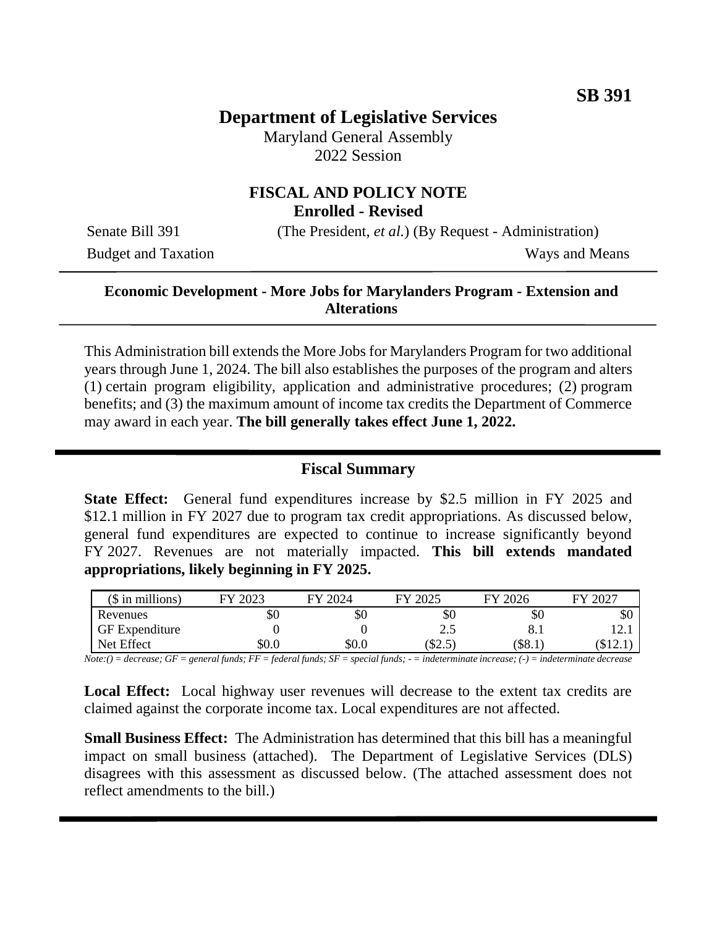# **Department of Legislative Services**

Maryland General Assembly 2022 Session

### **FISCAL AND POLICY NOTE Enrolled - Revised**

Budget and Taxation Ways and Means

Senate Bill 391 (The President, *et al.*) (By Request - Administration)

## **Economic Development - More Jobs for Marylanders Program - Extension and Alterations**

This Administration bill extends the More Jobs for Marylanders Program for two additional years through June 1, 2024. The bill also establishes the purposes of the program and alters (1) certain program eligibility, application and administrative procedures; (2) program benefits; and (3) the maximum amount of income tax credits the Department of Commerce may award in each year. **The bill generally takes effect June 1, 2022.**

## **Fiscal Summary**

**State Effect:** General fund expenditures increase by \$2.5 million in FY 2025 and \$12.1 million in FY 2027 due to program tax credit appropriations. As discussed below, general fund expenditures are expected to continue to increase significantly beyond FY 2027. Revenues are not materially impacted. **This bill extends mandated appropriations, likely beginning in FY 2025.**

| $($$ in millions)     | 2023<br>EV | FY 2024 | FY 2025        | 2026<br>FV | 2027<br>ГV |
|-----------------------|------------|---------|----------------|------------|------------|
| Revenues              | \$0        | УC      | \$0            | \$0        | \$0        |
| <b>GF</b> Expenditure |            |         | ⌒<br>ل و ک     | o<br>0.1   | 12.1       |
| Net Effect            | \$0.0      | $\$0.0$ | $\sim$<br>DZ.J | \$8.1      | (d.l.      |

*Note:() = decrease; GF = general funds; FF = federal funds; SF = special funds; - = indeterminate increase; (-) = indeterminate decrease*

**Local Effect:** Local highway user revenues will decrease to the extent tax credits are claimed against the corporate income tax. Local expenditures are not affected.

**Small Business Effect:** The Administration has determined that this bill has a meaningful impact on small business (attached). The Department of Legislative Services (DLS) disagrees with this assessment as discussed below. (The attached assessment does not reflect amendments to the bill.)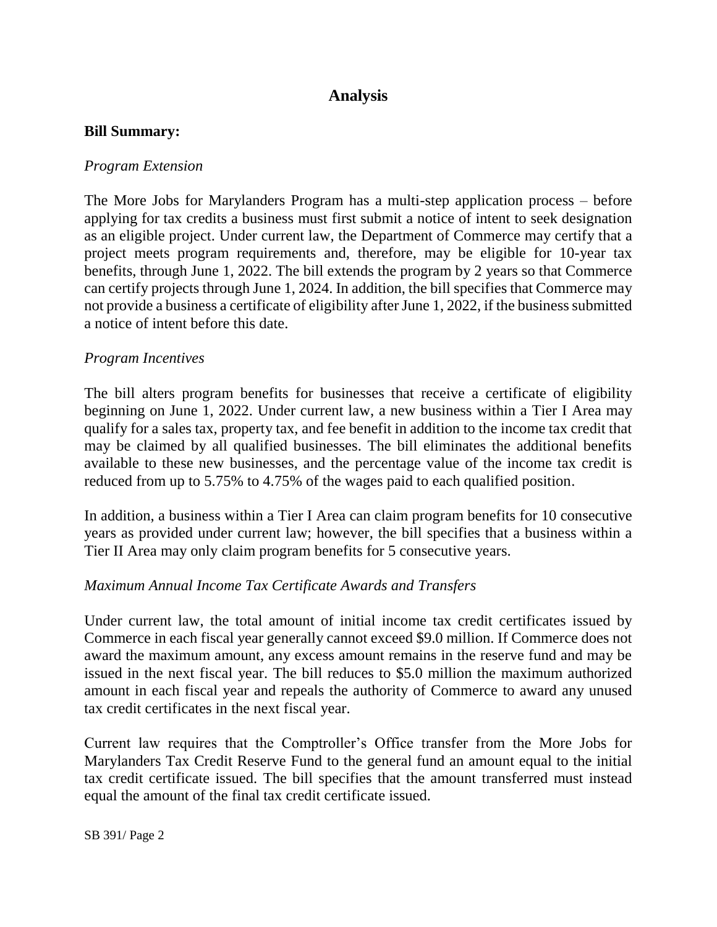# **Analysis**

### **Bill Summary:**

### *Program Extension*

The More Jobs for Marylanders Program has a multi-step application process – before applying for tax credits a business must first submit a notice of intent to seek designation as an eligible project. Under current law, the Department of Commerce may certify that a project meets program requirements and, therefore, may be eligible for 10-year tax benefits, through June 1, 2022. The bill extends the program by 2 years so that Commerce can certify projects through June 1, 2024. In addition, the bill specifies that Commerce may not provide a business a certificate of eligibility after June 1, 2022, if the business submitted a notice of intent before this date.

### *Program Incentives*

The bill alters program benefits for businesses that receive a certificate of eligibility beginning on June 1, 2022. Under current law, a new business within a Tier I Area may qualify for a sales tax, property tax, and fee benefit in addition to the income tax credit that may be claimed by all qualified businesses. The bill eliminates the additional benefits available to these new businesses, and the percentage value of the income tax credit is reduced from up to 5.75% to 4.75% of the wages paid to each qualified position.

In addition, a business within a Tier I Area can claim program benefits for 10 consecutive years as provided under current law; however, the bill specifies that a business within a Tier II Area may only claim program benefits for 5 consecutive years.

### *Maximum Annual Income Tax Certificate Awards and Transfers*

Under current law, the total amount of initial income tax credit certificates issued by Commerce in each fiscal year generally cannot exceed \$9.0 million. If Commerce does not award the maximum amount, any excess amount remains in the reserve fund and may be issued in the next fiscal year. The bill reduces to \$5.0 million the maximum authorized amount in each fiscal year and repeals the authority of Commerce to award any unused tax credit certificates in the next fiscal year.

Current law requires that the Comptroller's Office transfer from the More Jobs for Marylanders Tax Credit Reserve Fund to the general fund an amount equal to the initial tax credit certificate issued. The bill specifies that the amount transferred must instead equal the amount of the final tax credit certificate issued.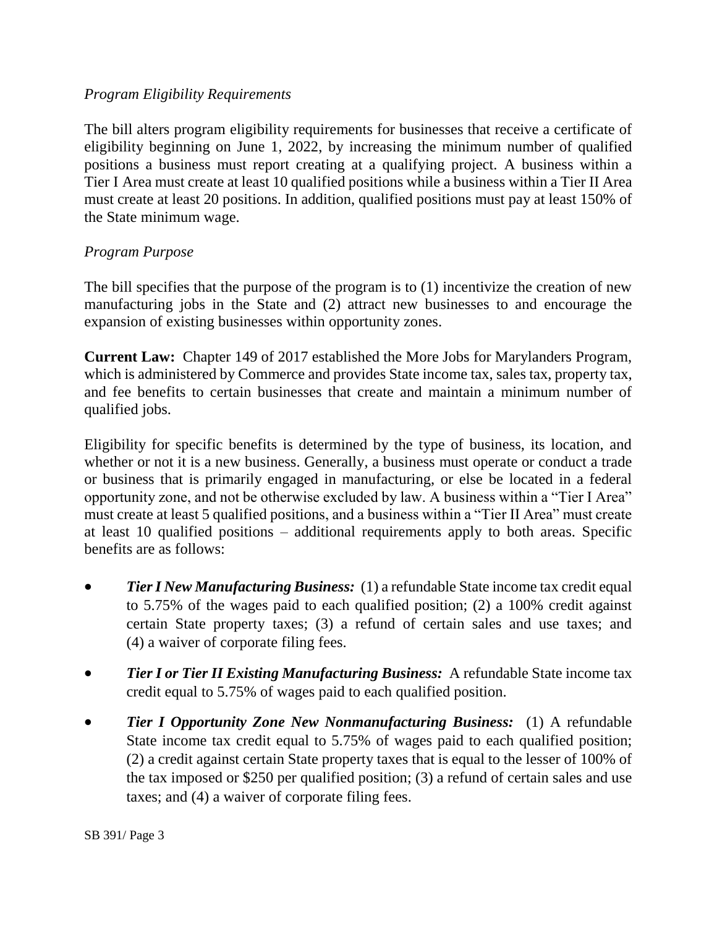### *Program Eligibility Requirements*

The bill alters program eligibility requirements for businesses that receive a certificate of eligibility beginning on June 1, 2022, by increasing the minimum number of qualified positions a business must report creating at a qualifying project. A business within a Tier I Area must create at least 10 qualified positions while a business within a Tier II Area must create at least 20 positions. In addition, qualified positions must pay at least 150% of the State minimum wage.

### *Program Purpose*

The bill specifies that the purpose of the program is to (1) incentivize the creation of new manufacturing jobs in the State and (2) attract new businesses to and encourage the expansion of existing businesses within opportunity zones.

**Current Law:** Chapter 149 of 2017 established the More Jobs for Marylanders Program, which is administered by Commerce and provides State income tax, sales tax, property tax, and fee benefits to certain businesses that create and maintain a minimum number of qualified jobs.

Eligibility for specific benefits is determined by the type of business, its location, and whether or not it is a new business. Generally, a business must operate or conduct a trade or business that is primarily engaged in manufacturing, or else be located in a federal opportunity zone, and not be otherwise excluded by law. A business within a "Tier I Area" must create at least 5 qualified positions, and a business within a "Tier II Area" must create at least 10 qualified positions – additional requirements apply to both areas. Specific benefits are as follows:

- *Tier I New Manufacturing Business:* (1) a refundable State income tax credit equal to 5.75% of the wages paid to each qualified position; (2) a 100% credit against certain State property taxes; (3) a refund of certain sales and use taxes; and (4) a waiver of corporate filing fees.
- *Tier I or Tier II Existing Manufacturing Business:* A refundable State income tax credit equal to 5.75% of wages paid to each qualified position.
- *Tier I Opportunity Zone New Nonmanufacturing Business:* (1) A refundable State income tax credit equal to 5.75% of wages paid to each qualified position; (2) a credit against certain State property taxes that is equal to the lesser of 100% of the tax imposed or \$250 per qualified position; (3) a refund of certain sales and use taxes; and (4) a waiver of corporate filing fees.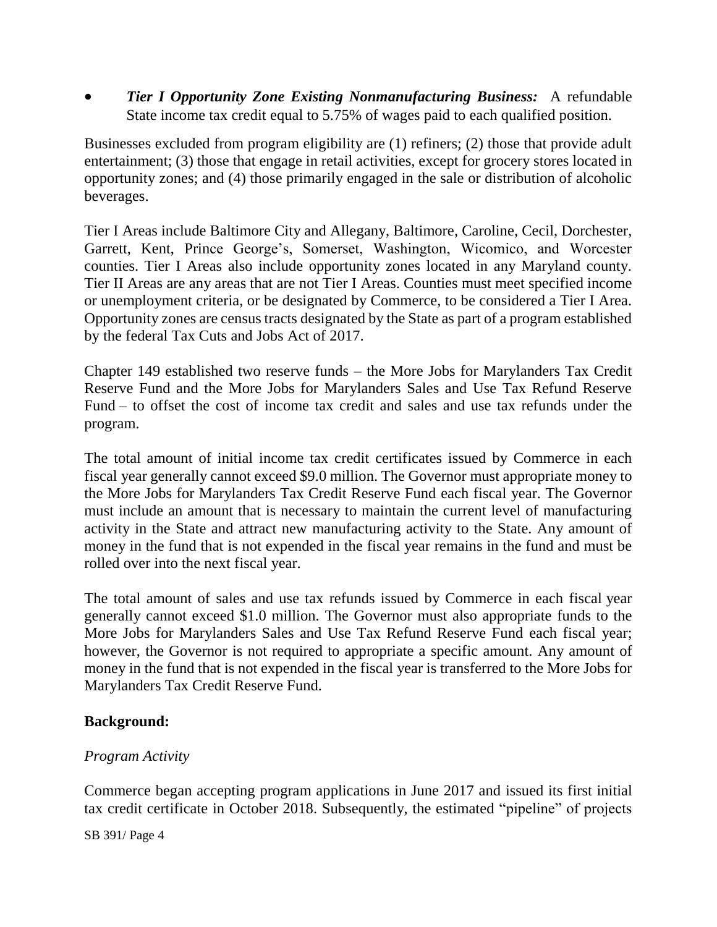*Tier I Opportunity Zone Existing Nonmanufacturing Business:* A refundable State income tax credit equal to 5.75% of wages paid to each qualified position.

Businesses excluded from program eligibility are (1) refiners; (2) those that provide adult entertainment; (3) those that engage in retail activities, except for grocery stores located in opportunity zones; and (4) those primarily engaged in the sale or distribution of alcoholic beverages.

Tier I Areas include Baltimore City and Allegany, Baltimore, Caroline, Cecil, Dorchester, Garrett, Kent, Prince George's, Somerset, Washington, Wicomico, and Worcester counties. Tier I Areas also include opportunity zones located in any Maryland county. Tier II Areas are any areas that are not Tier I Areas. Counties must meet specified income or unemployment criteria, or be designated by Commerce, to be considered a Tier I Area. Opportunity zones are census tracts designated by the State as part of a program established by the federal Tax Cuts and Jobs Act of 2017.

Chapter 149 established two reserve funds – the More Jobs for Marylanders Tax Credit Reserve Fund and the More Jobs for Marylanders Sales and Use Tax Refund Reserve Fund – to offset the cost of income tax credit and sales and use tax refunds under the program.

The total amount of initial income tax credit certificates issued by Commerce in each fiscal year generally cannot exceed \$9.0 million. The Governor must appropriate money to the More Jobs for Marylanders Tax Credit Reserve Fund each fiscal year. The Governor must include an amount that is necessary to maintain the current level of manufacturing activity in the State and attract new manufacturing activity to the State. Any amount of money in the fund that is not expended in the fiscal year remains in the fund and must be rolled over into the next fiscal year.

The total amount of sales and use tax refunds issued by Commerce in each fiscal year generally cannot exceed \$1.0 million. The Governor must also appropriate funds to the More Jobs for Marylanders Sales and Use Tax Refund Reserve Fund each fiscal year; however, the Governor is not required to appropriate a specific amount. Any amount of money in the fund that is not expended in the fiscal year is transferred to the More Jobs for Marylanders Tax Credit Reserve Fund.

## **Background:**

## *Program Activity*

Commerce began accepting program applications in June 2017 and issued its first initial tax credit certificate in October 2018. Subsequently, the estimated "pipeline" of projects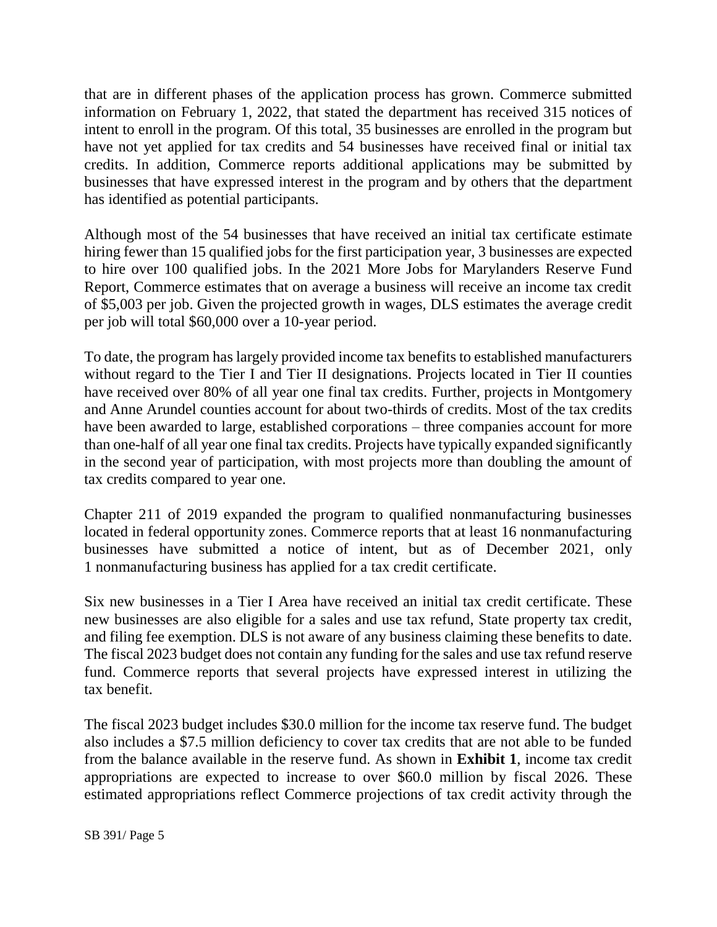that are in different phases of the application process has grown. Commerce submitted information on February 1, 2022, that stated the department has received 315 notices of intent to enroll in the program. Of this total, 35 businesses are enrolled in the program but have not yet applied for tax credits and 54 businesses have received final or initial tax credits. In addition, Commerce reports additional applications may be submitted by businesses that have expressed interest in the program and by others that the department has identified as potential participants.

Although most of the 54 businesses that have received an initial tax certificate estimate hiring fewer than 15 qualified jobs for the first participation year, 3 businesses are expected to hire over 100 qualified jobs. In the 2021 More Jobs for Marylanders Reserve Fund Report, Commerce estimates that on average a business will receive an income tax credit of \$5,003 per job. Given the projected growth in wages, DLS estimates the average credit per job will total \$60,000 over a 10-year period.

To date, the program has largely provided income tax benefits to established manufacturers without regard to the Tier I and Tier II designations. Projects located in Tier II counties have received over 80% of all year one final tax credits. Further, projects in Montgomery and Anne Arundel counties account for about two-thirds of credits. Most of the tax credits have been awarded to large, established corporations – three companies account for more than one-half of all year one final tax credits. Projects have typically expanded significantly in the second year of participation, with most projects more than doubling the amount of tax credits compared to year one.

Chapter 211 of 2019 expanded the program to qualified nonmanufacturing businesses located in federal opportunity zones. Commerce reports that at least 16 nonmanufacturing businesses have submitted a notice of intent, but as of December 2021, only 1 nonmanufacturing business has applied for a tax credit certificate.

Six new businesses in a Tier I Area have received an initial tax credit certificate. These new businesses are also eligible for a sales and use tax refund, State property tax credit, and filing fee exemption. DLS is not aware of any business claiming these benefits to date. The fiscal 2023 budget does not contain any funding for the sales and use tax refund reserve fund. Commerce reports that several projects have expressed interest in utilizing the tax benefit.

The fiscal 2023 budget includes \$30.0 million for the income tax reserve fund. The budget also includes a \$7.5 million deficiency to cover tax credits that are not able to be funded from the balance available in the reserve fund. As shown in **Exhibit 1**, income tax credit appropriations are expected to increase to over \$60.0 million by fiscal 2026. These estimated appropriations reflect Commerce projections of tax credit activity through the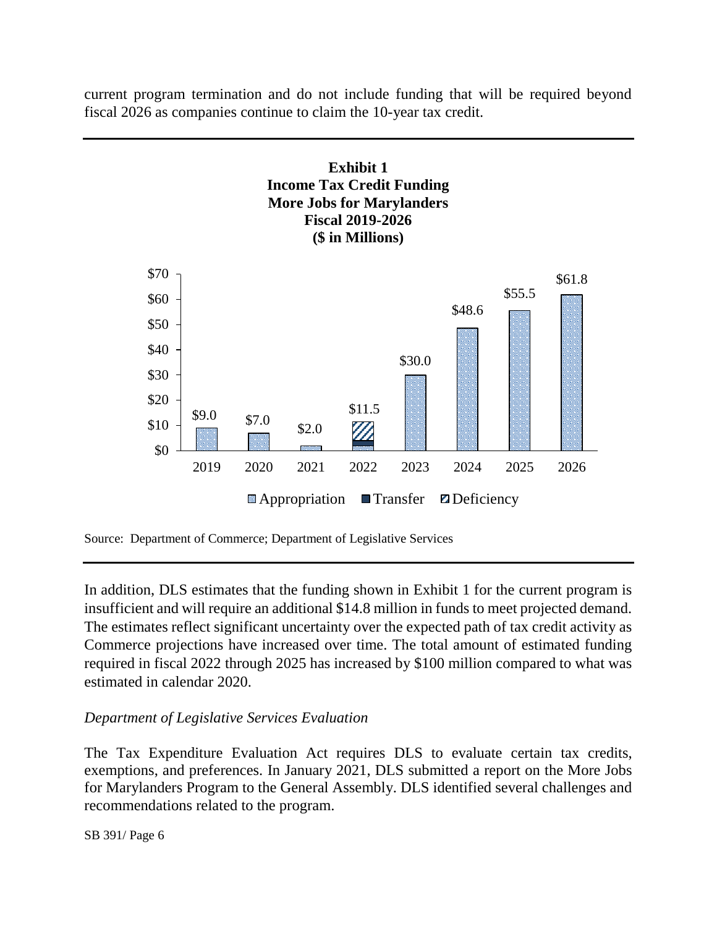current program termination and do not include funding that will be required beyond fiscal 2026 as companies continue to claim the 10-year tax credit.





In addition, DLS estimates that the funding shown in Exhibit 1 for the current program is insufficient and will require an additional \$14.8 million in funds to meet projected demand. The estimates reflect significant uncertainty over the expected path of tax credit activity as Commerce projections have increased over time. The total amount of estimated funding required in fiscal 2022 through 2025 has increased by \$100 million compared to what was estimated in calendar 2020.

## *Department of Legislative Services Evaluation*

The Tax Expenditure Evaluation Act requires DLS to evaluate certain tax credits, exemptions, and preferences. In January 2021, DLS submitted a report on the More Jobs for Marylanders Program to the General Assembly. DLS identified several challenges and recommendations related to the program.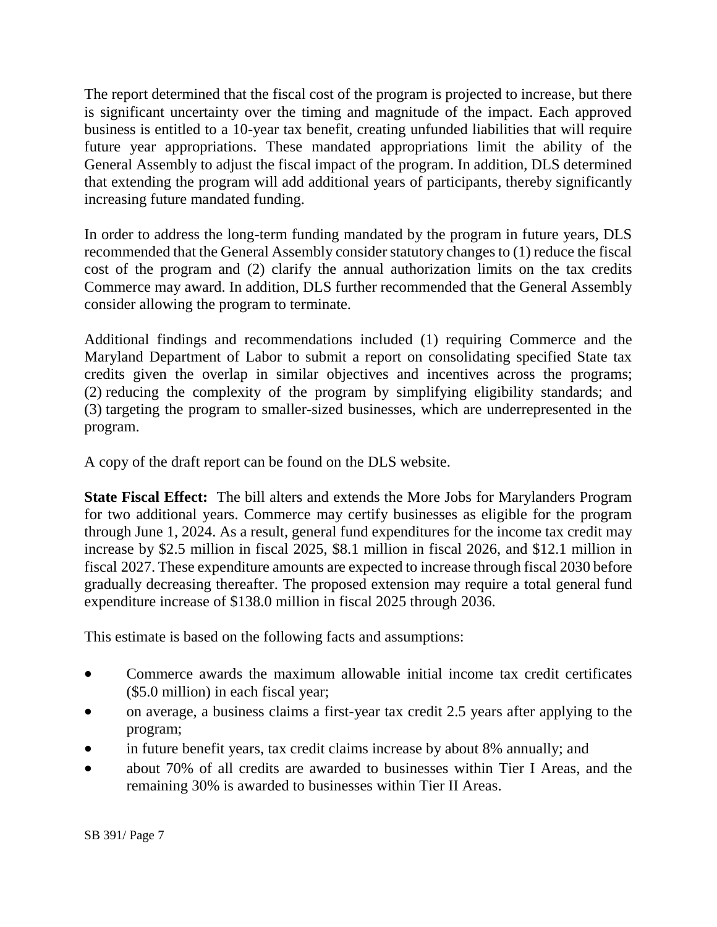The report determined that the fiscal cost of the program is projected to increase, but there is significant uncertainty over the timing and magnitude of the impact. Each approved business is entitled to a 10-year tax benefit, creating unfunded liabilities that will require future year appropriations. These mandated appropriations limit the ability of the General Assembly to adjust the fiscal impact of the program. In addition, DLS determined that extending the program will add additional years of participants, thereby significantly increasing future mandated funding.

In order to address the long-term funding mandated by the program in future years, DLS recommended that the General Assembly consider statutory changes to (1) reduce the fiscal cost of the program and (2) clarify the annual authorization limits on the tax credits Commerce may award. In addition, DLS further recommended that the General Assembly consider allowing the program to terminate.

Additional findings and recommendations included (1) requiring Commerce and the Maryland Department of Labor to submit a report on consolidating specified State tax credits given the overlap in similar objectives and incentives across the programs; (2) reducing the complexity of the program by simplifying eligibility standards; and (3) targeting the program to smaller-sized businesses, which are underrepresented in the program.

A copy of the draft report can be found on the DLS website.

**State Fiscal Effect:** The bill alters and extends the More Jobs for Marylanders Program for two additional years. Commerce may certify businesses as eligible for the program through June 1, 2024. As a result, general fund expenditures for the income tax credit may increase by \$2.5 million in fiscal 2025, \$8.1 million in fiscal 2026, and \$12.1 million in fiscal 2027. These expenditure amounts are expected to increase through fiscal 2030 before gradually decreasing thereafter. The proposed extension may require a total general fund expenditure increase of \$138.0 million in fiscal 2025 through 2036.

This estimate is based on the following facts and assumptions:

- Commerce awards the maximum allowable initial income tax credit certificates (\$5.0 million) in each fiscal year;
- on average, a business claims a first-year tax credit 2.5 years after applying to the program;
- in future benefit years, tax credit claims increase by about 8% annually; and
- about 70% of all credits are awarded to businesses within Tier I Areas, and the remaining 30% is awarded to businesses within Tier II Areas.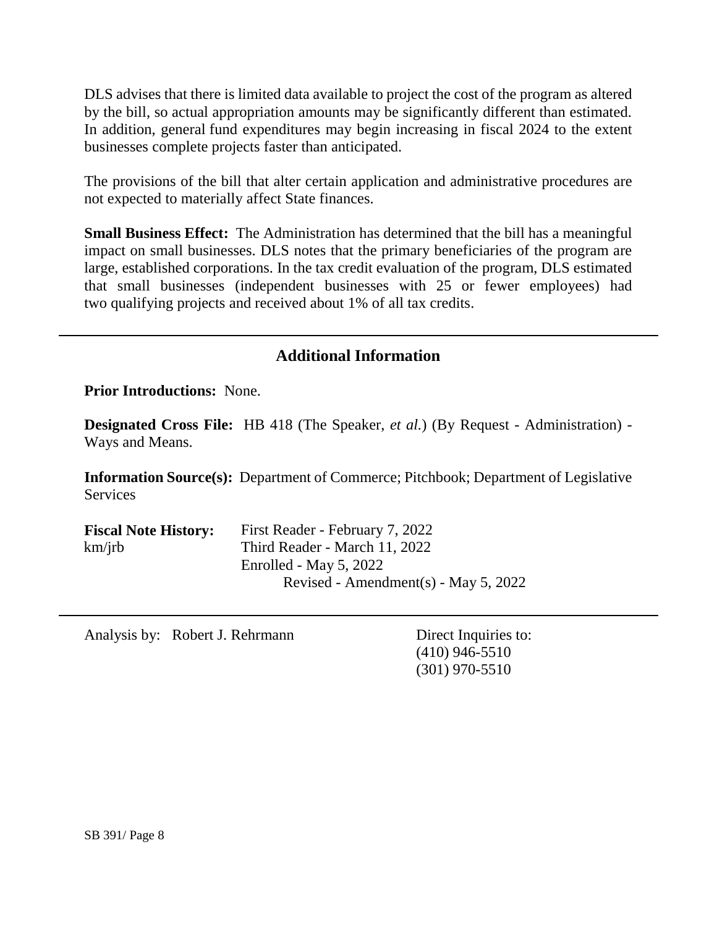DLS advises that there is limited data available to project the cost of the program as altered by the bill, so actual appropriation amounts may be significantly different than estimated. In addition, general fund expenditures may begin increasing in fiscal 2024 to the extent businesses complete projects faster than anticipated.

The provisions of the bill that alter certain application and administrative procedures are not expected to materially affect State finances.

**Small Business Effect:** The Administration has determined that the bill has a meaningful impact on small businesses. DLS notes that the primary beneficiaries of the program are large, established corporations. In the tax credit evaluation of the program, DLS estimated that small businesses (independent businesses with 25 or fewer employees) had two qualifying projects and received about 1% of all tax credits.

# **Additional Information**

**Prior Introductions:** None.

**Designated Cross File:** HB 418 (The Speaker, *et al.*) (By Request - Administration) - Ways and Means.

**Information Source(s):** Department of Commerce; Pitchbook; Department of Legislative **Services** 

| <b>Fiscal Note History:</b> | First Reader - February 7, 2022        |
|-----------------------------|----------------------------------------|
| km/irb                      | Third Reader - March 11, 2022          |
|                             | Enrolled - May $5, 2022$               |
|                             | Revised - Amendment(s) - May $5, 2022$ |

Analysis by: Robert J. Rehrmann Direct Inquiries to:

(410) 946-5510 (301) 970-5510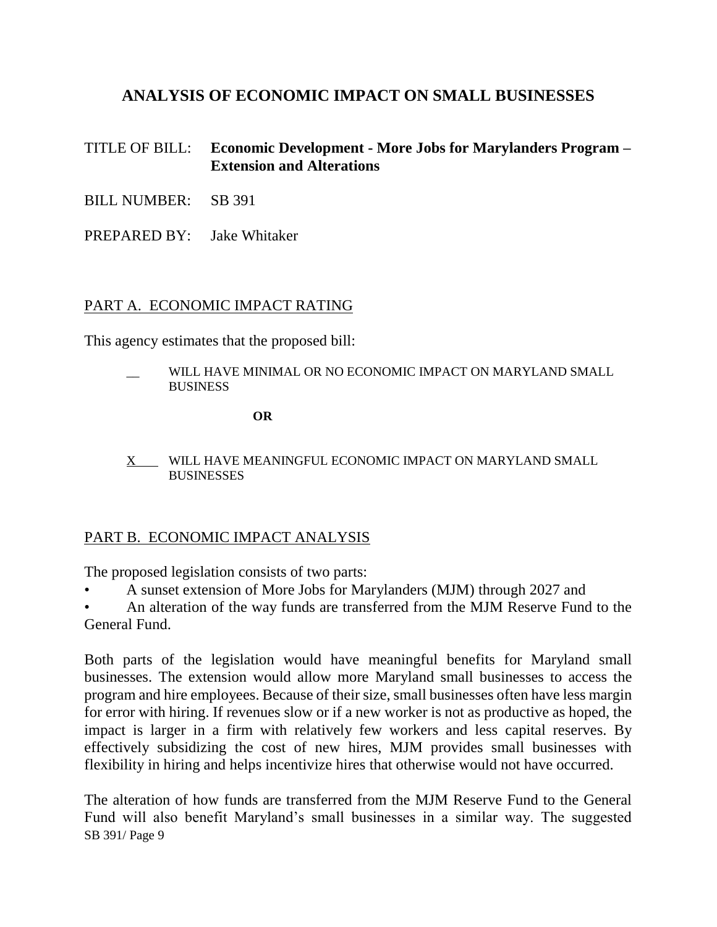# **ANALYSIS OF ECONOMIC IMPACT ON SMALL BUSINESSES**

## TITLE OF BILL: **Economic Development - More Jobs for Marylanders Program – Extension and Alterations**

- BILL NUMBER: SB 391
- PREPARED BY: Jake Whitaker

## PART A. ECONOMIC IMPACT RATING

This agency estimates that the proposed bill:

WILL HAVE MINIMAL OR NO ECONOMIC IMPACT ON MARYLAND SMALL **BUSINESS** 

**OR**

X WILL HAVE MEANINGFUL ECONOMIC IMPACT ON MARYLAND SMALL **BUSINESSES** 

## PART B. ECONOMIC IMPACT ANALYSIS

The proposed legislation consists of two parts:

• A sunset extension of More Jobs for Marylanders (MJM) through 2027 and

• An alteration of the way funds are transferred from the MJM Reserve Fund to the General Fund.

Both parts of the legislation would have meaningful benefits for Maryland small businesses. The extension would allow more Maryland small businesses to access the program and hire employees. Because of their size, small businesses often have less margin for error with hiring. If revenues slow or if a new worker is not as productive as hoped, the impact is larger in a firm with relatively few workers and less capital reserves. By effectively subsidizing the cost of new hires, MJM provides small businesses with flexibility in hiring and helps incentivize hires that otherwise would not have occurred.

SB 391/ Page 9 The alteration of how funds are transferred from the MJM Reserve Fund to the General Fund will also benefit Maryland's small businesses in a similar way. The suggested